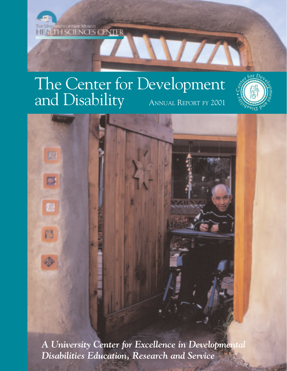

# The Center for Development and Disability ANNUAL REPORT FY 2001





*A University Center for Excellence in Developmental Disabilities Education, Research and Service*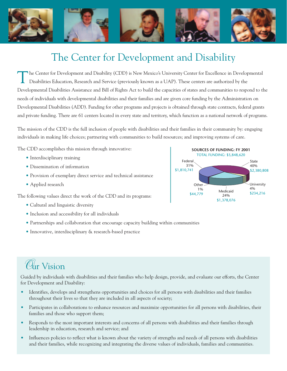

## The Center for Development and Disability

The Center for Development and Disability (CDD) is New Mexico's University Center for Excellence in Developmental<br>Disabilities Education, Research and Service (previously known as a UAP). These centers are authorized by th Developmental Disabilities Assistance and Bill of Rights Act to build the capacities of states and communities to respond to the needs of individuals with developmental disabilities and their families and are given core funding by the Administration on Developmental Disabilities (ADD). Funding for other programs and projects is obtained through state contracts, federal grants and private funding. There are 61 centers located in every state and territory, which function as a national network of programs.

The mission of the CDD is the full inclusion of people with disabilities and their families in their community by: engaging individuals in making life choices; partnering with communities to build resources; and improving systems of care.

The CDD accomplishes this mission through innovative:

- Interdisciplinary training
- Dissemination of information
- Provision of exemplary direct service and technical assistance
- Applied research

The following values direct the work of the CDD and its programs:

- Cultural and linguistic diversity
- Inclusion and accessibility for all individuals
- Partnerships and collaboration that encourage capacity building within communities
- Innovative, interdisciplinary & research-based practice

## *O*ur Vision

Guided by individuals with disabilities and their families who help design, provide, and evaluate our efforts, the Center for Development and Disability:

- Identifies, develops and strengthens opportunities and choices for all persons with disabilities and their families throughout their lives so that they are included in all aspects of society;
- Participates in collaborations to enhance resources and maximize opportunities for all persons with disabilities, their families and those who support them;
- Responds to the most important interests and concerns of all persons with disabilities and their families through leadership in education, research and service; and
- Influences policies to reflect what is known about the variety of strengths and needs of all persons with disabilities and their families, while recognizing and integrating the diverse values of individuals, families and communities.

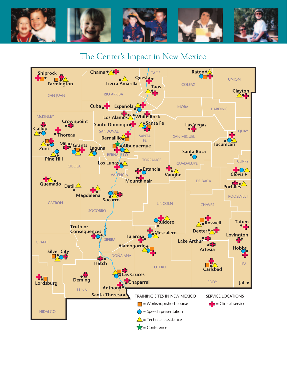

### The Center's Impact in New Mexico

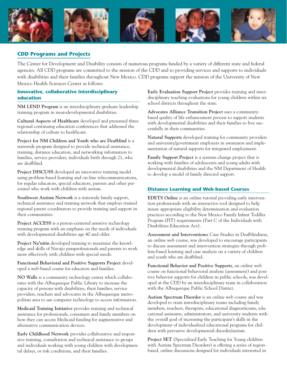

#### **CDD Programs and Projects**

The Center for Development and Disability consists of numerous programs funded by a variety of different state and federal agencies. All CDD programs are committed to the mission of the CDD and to providing services and supports to individuals with disabilities and their families throughout New Mexico. CDD programs support the mission of the University of New Mexico Health Sciences Center as follows:

#### **Innovative, collaborative interdisciplinary education**

**NM LEND Program** is an interdisciplinary graduate leadership training program in neurodevelopmental disabilities.

**Cultural Aspects of Healthcare** developed and presented three regional continuing education conferences that addressed the relationship of culture to healthcare.

**Project for NM Children and Youth who are Deafblind** is a statewide program designed to provide technical assistance, training, distance education, and networking information to families, service providers, individuals birth through 21, who are deafblind.

**Project DISCUSS** developed an innovative training model using problem-based learning and on-line telecommunications, for regular educators, special educators, parents and other personnel who work with children with autism.

**Southwest Autism Network** is a statewide family support, technical assistance and training network that employs trained regional parent coordinators to provide training and support in their communities.

**Project ACCESS** is a person-centered assistive technology training program with an emphasis on the needs of individuals with developmental disabilities age 40 and older.

**Project Na'nitin** developed training to maximize the knowledge and skills of Navajo paraprofessionals and parents to work more effectively with children with special needs.

**Functional Behavioral and Positive Supports Project** developed a web-based course for educators and families.

**NO Walls** is a community technology center which collaborates with the Albuquerque Public Library to increase the capacity of persons with disabilities, their families, service providers, teachers and advocates in the Albuquerque metropolitan area to use computer technology to access information.

**Medicaid Training Initiative** provides training and technical assistance for professionals, consumers and family members on how they can access Medicaid funding for augmentative and alternative communication devices.

**Early Childhood Network** provides collaborative and responsive training, consultation and technical assistance to groups and individuals working with young children with developmental delays, or risk conditions, and their families.

**Early Evaluation Support Project** provides training and interdisciplinary teaching evaluations for young children within six school districts throughout the state.

**Advocates Alliance Transition Project** uses a communitybased quality of life enhancement process to support students with developmental disabilities and their families to live successfully in their communities.

**Natural Supports** developed training for community providers and university/government employers in awareness and implementation of natural supports for integrated employment.

**Family Support Project** is a systems change project that is working with families of adolescents and young adults with developmental disabilities and the NM Department of Health to develop a model of family directed support.

#### **Distance Learning and Web-based Courses**

**EDETS Online** is an online tutorial providing early intervention professionals with an interactive tool designed to help insure appropriate eligibility determination and evaluation practices according to the New Mexico Family Infant Toddler Program (FIT) requirements (Part C of the Individuals with Disabilities Education Act).

**Assessment and Interventions:** Case Studies in Deafblindness, an online web course, was developed to encourage participants to discuss assessment and intervention strategies through problem-based learning and case analysis on a variety of children and youth who are deafblind.

**Functional Behavior and Positive Supports**, an online web course on functional behavioral analysis (assessment) and positive behavior supports for children in public schools, was developed at the CDD by an interdisciplinary team in collaboration with the Albuquerque Public School District.

**Autism Spectrum Disorder** is an online web course and was developed to train interdisciplinary teams including family members, teachers, therapists, educational diagnosticians, educational assistants, administrators, and university students with the overall goal of increasing the participant's skills in the development of individualized educational programs for children with pervasive developmental disorder/autism.

**Project SET** (Specialized Early Teaching for Young children with Autism Spectrum Disorders) is offering a series of regionbased, online discussions designed for individuals interested in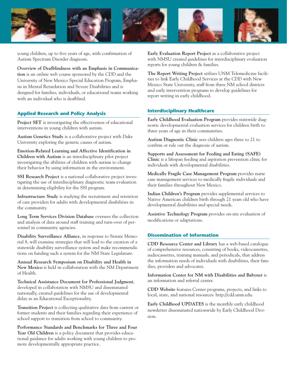

young children, up to five years of age, with confirmation of Autism Spectrum Disorder diagnosis.

**Overview of Deafblindness with an Emphasis in Communication** is an online web course sponsored by the CDD and the University of New Mexico Special Education Program, Emphasis in Mental Retardation and Severe Disabilities and is designed for families, individuals, or educational teams working with an individual who is deafblind.

#### **Applied Research and Policy Analysis**

**Project SET** is investigating the effectiveness of educational interventions in young children with autism.

**Autism Genetics Study** is a collaborative project with Duke University exploring the genetic causes of autism.

**Emotion-Related Learning and Affective Identification in Children with Autism** is an interdisciplinary pilot project investigating the abilities of children with autism to change their behavior by using information in the environment.

**SSI Research Project** is a national collaborative project investigating the use of interdisciplinary diagnostic team evaluation in determining eligibility for the SSI program.

**Infrastructure Study** is studying the recruitment and retention of care providers for adults with developmental disabilities in the community.

**Long Term Services Division Database** oversees the collection and analysis of data around staff training and turn-over of personnel in community agencies.

**Disability Surveillance Alliance**, in response to Senate Memorial 8, will examine strategies that will lead to the creation of a statewide disability surveillance system and make recommendations on funding such a system for the NM State Legislature.

**Annual Research Symposium on Disability and Health in New Mexico** is held in collaboration with the NM Department of Health.

**Technical Assistance Document for Professional Judgment**, developed in collaboration with NMSU and disseminated nationally, created guidelines for the use of developmental delay as an Educational Exceptionality.

**Transition Project** is collecting qualitative data from current or former students and their families regarding their experience of school support to transition from school to community.

**Performance Standards and Benchmarks for Three and Four Year Old Children** is a policy document that provides educational guidance for adults working with young children to promote developmentally appropriate practice.

**Early Evaluation Report Project** as a collaborative project with NMSU created guidelines for interdisciplinary evaluation reports for young children & families.

**The Report Writing Project** utilizes UNM Telemedicine facilities to link Early Childhood Services at the CDD with New Mexico State University, staff from three NM school districts and early intervention programs to develop guidelines for report writing in early childhood.

#### **Interdisciplinary Healthcare**

**Early Childhood Evaluation Program** provides statewide diagnostic developmental evaluation services for children birth to three years of age in their communities.

**Autism Diagnostic Clinic** sees children ages three to 21 to confirm or rule out the diagnosis of autism.

**Supports and Assessment for Feeding and Eating (SAFE) Clinic** is a lifespan feeding and aspiration prevention clinic for individuals with developmental disabilities.

**Medically Fragile Case Management Program** provides nurse case management services to medically fragile individuals and their families throughout New Mexico.

**Indian Children's Program** provides supplemental services to Native American children birth through 21 years old who have developmental disabilities and special needs.

**Assistive Technology Program** provides on-site evaluation of modifications or adaptations.

#### **Dissemination of Information**

**CDD Resource Center and Library** has a web-based catalogue of comprehensive resources, consisting of books, videocassettes, audiocassettes, training manuals, and periodicals, that address the information needs of individuals with disabilities, their families, providers and advocates.

**Information Center for NM with Disabilities and Babynet** is an information and referral center.

**CDD Website** features Center programs, projects, and links to local, state, and national resources: http://cdd.unm.edu.

**Early Childhood UPDATES** is the monthly early childhood newsletter disseminated nationwide by Early Childhood Division.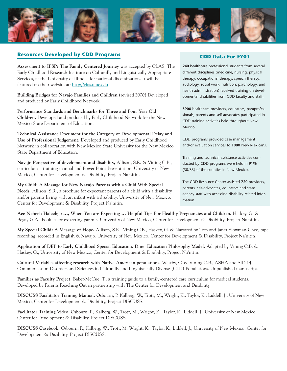

#### **Resources Developed by CDD Programs**

**Assessment to IFSP: The Family Centered Journey** was accepted by CLAS, The Early Childhood Research Institute on Culturally and Linguistically Appropriate Services, at the University of Illinois, for national dissemination. It will be featured on their website at: http://clas.uiuc.edu

**Building Bridges for Navajo Families and Children** (revised 2000) Developed and produced by Early Childhood Network.

**Performance Standards and Benchmarks for Three and Four Year Old Children.** Developed and produced by Early Childhood Network for the New Mexico State Department of Education.

**Technical Assistance Document for the Category of Developmental Delay and Use of Professional Judgement.** Developed and produced by Early Childhood Network in collaboration with New Mexico State University for the New Mexico State Department of Education.

**Navajo Perspective of development and disability,** Allison, S.R. & Vining C.B., curriculum – training manual and Power Point Presentation. University of New Mexico, Center for Development & Disability, Project Na'nitin.

**My Child: A Message for New Navajo Parents with a Child With Special Needs.** Allison, S.R., a brochure for expectant parents of a child with a disability and/or parents living with an infant with a disability. University of New Mexico, Center for Development & Disability, Project Na'nitin.

#### **CDD Data For FY01**

**240** healthcare professional students from several different disciplines (medicine, nursing, physical therapy, occupational therapy, speech therapy, audiology, social work, nutrition, psychology, and health administration) received training on developmental disabilities from CDD faculty and staff.

**5900** healthcare providers, educators, paraprofessionals, parents and self-advocates participated in CDD training activities held throughout New Mexico.

CDD programs provided case management and/or evaluation services to **1080** New Mexicans.

Training and technical assistance activities conducted by CDD programs were held in **91%** (30/33) of the counties in New Mexico.

The CDD Resource Center assisted **720** providers, parents, self-advocates, educators and state agency staff with accessing disability related information.

**Aee Neheeh Haleehgo …, When You are Expecting … Helpful Tips For Healthy Pregnancies and Children.** Haskey, G. & Begay G.A., booklet for expecting parents. University of New Mexico, Center for Development & Disability, Project Na'nitin.

**My Special Child: A Message of Hope.** Allison, S.R., Vining C.B., Haskey, G. & Narrated by Tom and Janet Slowman-Chee, tape recording, recorded in English & Navajo. University of New Mexico, Center for Development & Disability, Project Na'nitin.

**Application of DEP to Early Childhood Special Education, Dine' Education Philosophy Model.** Adapted by Vining C.B. & Haskey, G., University of New Mexico, Center for Development & Disability, Project Na'nitin.

**Cultural Variables affecting research with Native American populations.** Westby, C. & Vining C.B., ASHA and SID 14- Communication Disorders and Sciences in Culturally and Linguistically Diverse (CLD) Populations. Unpublished manuscript.

**Families as Faculty Project.** Baker-McCue, T., a training guide to a family-centered care curriculum for medical students. Developed by Parents Reaching Out in partnership with The Center for Development and Disability.

**DISCUSS Facilitator Training Manual. O**sbourn, P. Kalberg, W., Trott, M., Wright, K., Taylor, K., Liddell, J., University of New Mexico, Center for Development & Disability, Project DISCUSS.

**Facilitator Training Video.** Osbourn, P., Kalberg, W., Trott, M., Wright, K., Taylor, K., Liddell, J., University of New Mexico, Center for Development & Disability, Project DISCUSS.

**DISCUSS Casebook.** Osbourn, P., Kalberg, W., Trott, M. Wright, K., Taylor, K., Liddell, J., University of New Mexico, Center for Development & Disability, Project DISCUSS.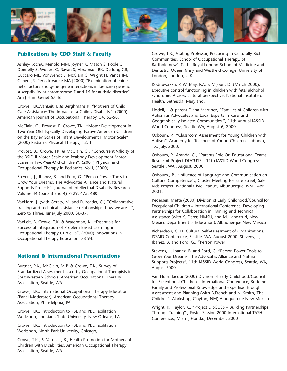

#### **Publications by CDD Staff & Faculty**

Ashley-KochA, Menold MM, Joyner K, Mason S, Poole C, Donnelly S, Wopert C, Ravan S, Abramson RK, De long GR, Cuccaro ML, VonWendt L, McClain C, Wright H, Vance JM, Gilbert JR, Pericak-Vance MA (2000) "Examination of epigenetic factors and gene-gene interactions influencing genetic susceptibility at chromosome 7 and 15 for autistic disorder", Am J Hum Genet 67:46.

Crowe, T.K.,VanLeit, B.& Berghmans,K. "Mothers of Child Care Assistance: The Impact of a Child's Disability". (2000) American Journal of Occupational Therapy. 54, 52-58.

McClain, C., Provost, E. Crowe, TK., "Motor Development in Two-Year-Old Typically Developing Native American Children on the Bayley Scales of Infant Development II Motor Scale", (2000) Pediatric Physical Therapy, 12, 1

Provost, B., Crowe, TK. & McClain, C., "Concurrent Validity of the BSID II Motor Scale and Peabody Development Motor Scales in Two-Year-Old Children", (2001) Physical and Occupational Therapy in Pediatrics, Vol I, (2000).

Stevens, J., Ibanez, B. and Ford, G. "Person Power Tools to Grow Your Dreams: The Advocates Alliance and Natural Supports Projects", Journal of Intellectual Disability Research. Volume 44 (parts 3 and 4) P329, 475, 480.

VanHorn, J. (with Gerety, M. and Fulreader, C.) "Collaborative training and technical assistance relationships: how we are…", Zero to Three, June/July 2000, 36-37.

VanLeit, B. Crowe, T.K. & Waterman, K., "Essentials for Successful Integration of Problem-Based Learning in Occupational Therapy Curricula". (2000) Innovations in Occupational Therapy Education. 78-94.

#### **National & International Presentations**

Burtner, P.A., McClain, M.P. & Crowe, T.K., Survey of Standardized Assessment Used by Occupational Therapists in Southwestern Schools. American Occupational Therapy Association, Seattle, WA.

Crowe, T.K., International Occupational Therapy Education (Panel Moderator), American Occupational Therapy Association, Philadelphia, PA.

Crowe, T.K., Introduction to PBL and PBL Facilitation Workshop, Louisiana State University, New Orleans, LA.

Crowe, T.K., Introduction to PBL and PBL Facilitation Workshop, North Park University, Chicago, IL.

Crowe, T.K., & Van Leit, B., Health Promotion for Mothers of Children with Disabilities. American Occupational Therapy Association, Seattle, WA.

Crowe, T.K., Visiting Professor, Practicing in Culturally Rich Communities, School of Occupational Therapy, St. Bartholomew's & the Royal London School of Medicine and Dentistry, Queen Mary and Westfield College, University of London, London, U.K.

Kodituwakku, P. W. May, P.A. & Viljoun, D. (March 2000). Executive control functioning in children with fetal alchohol syndrome: A cross-cultural perspective. National Institute of Health, Bethesda, Maryland.

Liddell, J. & parent Diana Martinez, "Families of Children with Autism as Advocates and Local Experts in Rural and Geographically Isolated Communities.", 11th Annual IASSID World Congress, Seattle WA, August 6, 2000

Osbourn, P., "Classroom Assessment for Young Children with Autism", Academy for Teachers of Young Children, Lubbock, TX, July, 2000.

Osbourn, P., Aranda, C., "Parents Role On Educational Teams: Results of Project DISCUSS", 11th IASSID World Congress, Seattle , WA., August, 2000

Osbourn., P., "Influence of Language and Communication on Cultural Competence"., Cluster Meeting for Safe Street, Safe Kids Project, National Civic League, Albuquerque, NM., April, 2001.

Pedersen, Mette (2000) Division of Early Childhood/Council for Exceptional Children – International Conference, Developing Partnerships for Collaboration in Training and Technical Assistance (with K. Derer, NMSU, and M. Landazuri, New Mexico Department of Education), Albuquerque New Mexico

Richardson, C. H. Cultural Self-Assessment of Organizations. ISSAID Conference, Seattle, WA, August 2000. Stevens, J., Ibanez, B. and Ford, G., "Person Power

Stevens, J., Ibanez, B. and Ford, G. "Person Power Tools to Grow Your Dreams: The Advocates Alliance and Natural Supports Projects", 11th IASSID World Congress, Seattle, WA, August 2000

Van Horn, Jacqui (2000) Division of Early Childhood/Council for Exceptional Children – International Conference, Bridging Family and Professional Knowledge and expertise through Assessment and Planning (with B.French and N. Smith, The Children's Workshop, Clayton, NM) Albuquerque New Mexico

Wright, K., Taylor, K., "Project DISCUSS – Building Partnerships Through Training"., Poster Session 2000 International TASH Conference., Miami, Florida., December, 2000